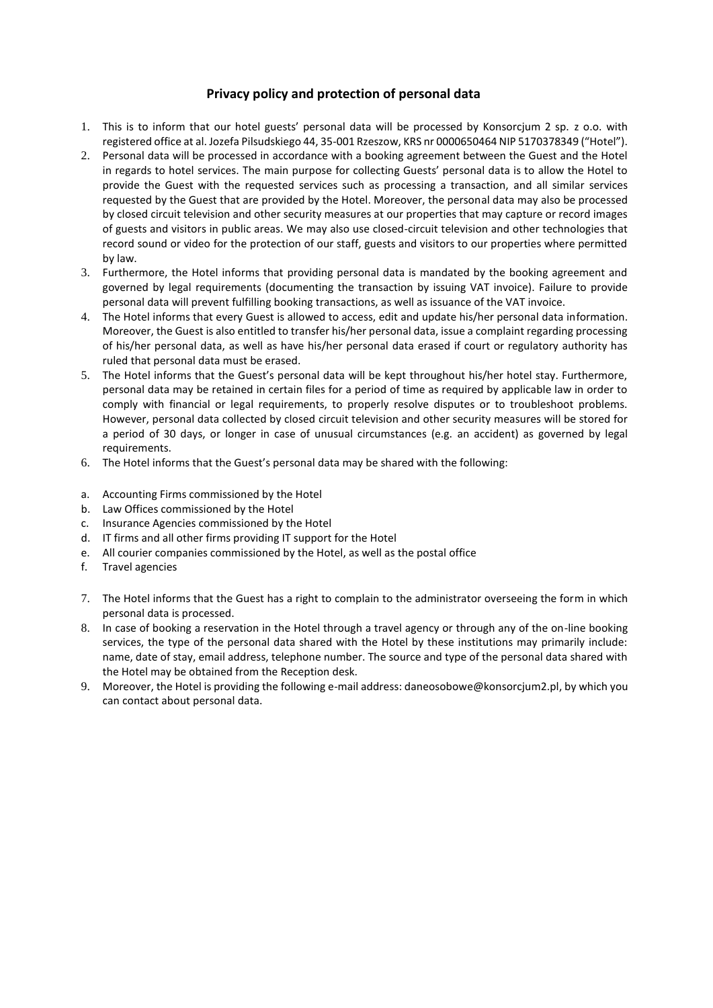## **Privacy policy and protection of personal data**

- 1. This is to inform that our hotel guests' personal data will be processed by Konsorcjum 2 sp. z o.o. with registered office at al. Jozefa Pilsudskiego 44, 35-001 Rzeszow, KRS nr 0000650464 NIP 5170378349 ("Hotel").
- 2. Personal data will be processed in accordance with a booking agreement between the Guest and the Hotel in regards to hotel services. The main purpose for collecting Guests' personal data is to allow the Hotel to provide the Guest with the requested services such as processing a transaction, and all similar services requested by the Guest that are provided by the Hotel. Moreover, the personal data may also be processed by closed circuit television and other security measures at our properties that may capture or record images of guests and visitors in public areas. We may also use closed-circuit television and other technologies that record sound or video for the protection of our staff, guests and visitors to our properties where permitted by law.
- 3. Furthermore, the Hotel informs that providing personal data is mandated by the booking agreement and governed by legal requirements (documenting the transaction by issuing VAT invoice). Failure to provide personal data will prevent fulfilling booking transactions, as well as issuance of the VAT invoice.
- 4. The Hotel informs that every Guest is allowed to access, edit and update his/her personal data information. Moreover, the Guest is also entitled to transfer his/her personal data, issue a complaint regarding processing of his/her personal data, as well as have his/her personal data erased if court or regulatory authority has ruled that personal data must be erased.
- 5. The Hotel informs that the Guest's personal data will be kept throughout his/her hotel stay. Furthermore, personal data may be retained in certain files for a period of time as required by applicable law in order to comply with financial or legal requirements, to properly resolve disputes or to troubleshoot problems. However, personal data collected by closed circuit television and other security measures will be stored for a period of 30 days, or longer in case of unusual circumstances (e.g. an accident) as governed by legal requirements.
- 6. The Hotel informs that the Guest's personal data may be shared with the following:
- a. Accounting Firms commissioned by the Hotel
- b. Law Offices commissioned by the Hotel
- c. Insurance Agencies commissioned by the Hotel
- d. IT firms and all other firms providing IT support for the Hotel
- e. All courier companies commissioned by the Hotel, as well as the postal office
- f. Travel agencies
- 7. The Hotel informs that the Guest has a right to complain to the administrator overseeing the form in which personal data is processed.
- 8. In case of booking a reservation in the Hotel through a travel agency or through any of the on-line booking services, the type of the personal data shared with the Hotel by these institutions may primarily include: name, date of stay, email address, telephone number. The source and type of the personal data shared with the Hotel may be obtained from the Reception desk.
- 9. Moreover, the Hotel is providing the following e-mail address: daneosobowe@konsorcjum2.pl, by which you can contact about personal data.